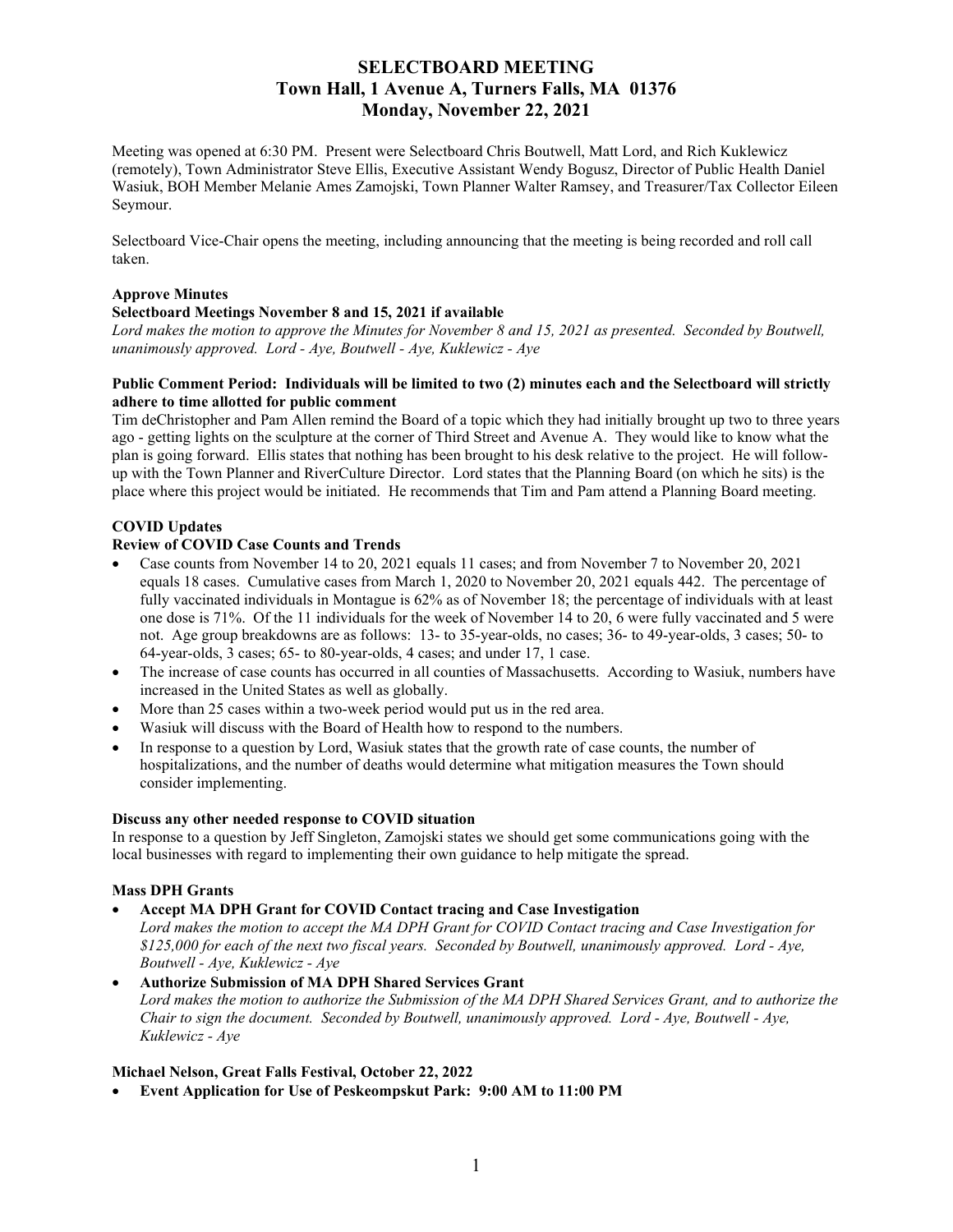# **SELECTBOARD MEETING Town Hall, 1 Avenue A, Turners Falls, MA 01376 Monday, November 22, 2021**

Meeting was opened at 6:30 PM. Present were Selectboard Chris Boutwell, Matt Lord, and Rich Kuklewicz (remotely), Town Administrator Steve Ellis, Executive Assistant Wendy Bogusz, Director of Public Health Daniel Wasiuk, BOH Member Melanie Ames Zamojski, Town Planner Walter Ramsey, and Treasurer/Tax Collector Eileen Seymour.

Selectboard Vice-Chair opens the meeting, including announcing that the meeting is being recorded and roll call taken.

#### **Approve Minutes**

#### **Selectboard Meetings November 8 and 15, 2021 if available**

*Lord makes the motion to approve the Minutes for November 8 and 15, 2021 as presented. Seconded by Boutwell, unanimously approved. Lord - Aye, Boutwell - Aye, Kuklewicz - Aye*

#### **Public Comment Period: Individuals will be limited to two (2) minutes each and the Selectboard will strictly adhere to time allotted for public comment**

Tim deChristopher and Pam Allen remind the Board of a topic which they had initially brought up two to three years ago - getting lights on the sculpture at the corner of Third Street and Avenue A. They would like to know what the plan is going forward. Ellis states that nothing has been brought to his desk relative to the project. He will followup with the Town Planner and RiverCulture Director. Lord states that the Planning Board (on which he sits) is the place where this project would be initiated. He recommends that Tim and Pam attend a Planning Board meeting.

#### **COVID Updates**

## **Review of COVID Case Counts and Trends**

- Case counts from November 14 to 20, 2021 equals 11 cases; and from November 7 to November 20, 2021 equals 18 cases. Cumulative cases from March 1, 2020 to November 20, 2021 equals 442. The percentage of fully vaccinated individuals in Montague is 62% as of November 18; the percentage of individuals with at least one dose is 71%. Of the 11 individuals for the week of November 14 to 20, 6 were fully vaccinated and 5 were not. Age group breakdowns are as follows: 13- to 35-year-olds, no cases; 36- to 49-year-olds, 3 cases; 50- to 64-year-olds, 3 cases; 65- to 80-year-olds, 4 cases; and under 17, 1 case.
- The increase of case counts has occurred in all counties of Massachusetts. According to Wasiuk, numbers have increased in the United States as well as globally.
- More than 25 cases within a two-week period would put us in the red area.
- Wasiuk will discuss with the Board of Health how to respond to the numbers.
- In response to a question by Lord, Wasiuk states that the growth rate of case counts, the number of hospitalizations, and the number of deaths would determine what mitigation measures the Town should consider implementing.

#### **Discuss any other needed response to COVID situation**

In response to a question by Jeff Singleton, Zamojski states we should get some communications going with the local businesses with regard to implementing their own guidance to help mitigate the spread.

#### **Mass DPH Grants**

- **Accept MA DPH Grant for COVID Contact tracing and Case Investigation** 
	- *Lord makes the motion to accept the MA DPH Grant for COVID Contact tracing and Case Investigation for \$125,000 for each of the next two fiscal years. Seconded by Boutwell, unanimously approved. Lord - Aye, Boutwell - Aye, Kuklewicz - Aye*
- **Authorize Submission of MA DPH Shared Services Grant** *Lord makes the motion to authorize the Submission of the MA DPH Shared Services Grant, and to authorize the Chair to sign the document. Seconded by Boutwell, unanimously approved. Lord - Aye, Boutwell - Aye, Kuklewicz - Aye*

#### **Michael Nelson, Great Falls Festival, October 22, 2022**

• **Event Application for Use of Peskeompskut Park: 9:00 AM to 11:00 PM**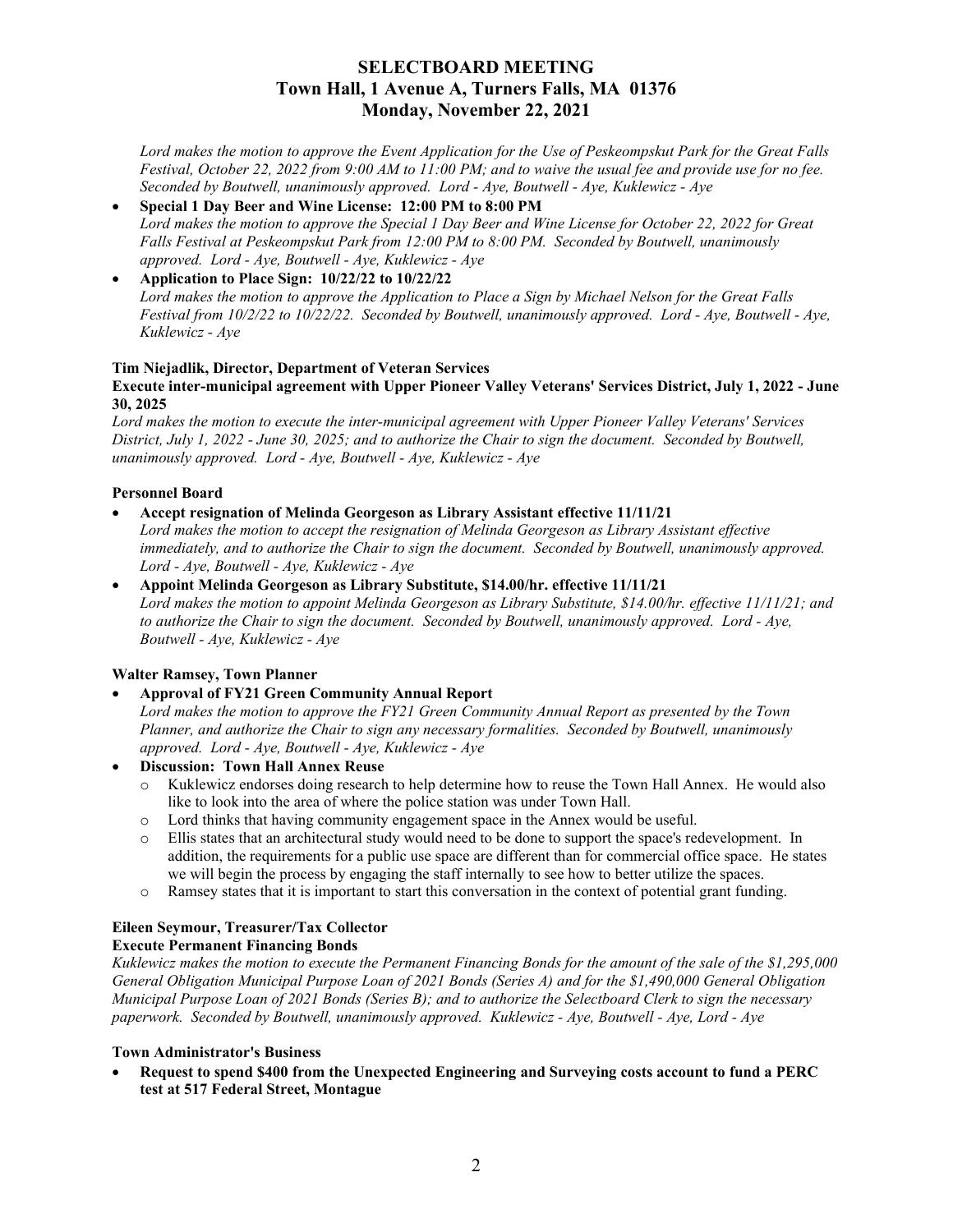# **SELECTBOARD MEETING Town Hall, 1 Avenue A, Turners Falls, MA 01376 Monday, November 22, 2021**

*Lord makes the motion to approve the Event Application for the Use of Peskeompskut Park for the Great Falls Festival, October 22, 2022 from 9:00 AM to 11:00 PM; and to waive the usual fee and provide use for no fee. Seconded by Boutwell, unanimously approved. Lord - Aye, Boutwell - Aye, Kuklewicz - Aye*

• **Special 1 Day Beer and Wine License: 12:00 PM to 8:00 PM** *Lord makes the motion to approve the Special 1 Day Beer and Wine License for October 22, 2022 for Great Falls Festival at Peskeompskut Park from 12:00 PM to 8:00 PM. Seconded by Boutwell, unanimously approved. Lord - Aye, Boutwell - Aye, Kuklewicz - Aye* 

#### • **Application to Place Sign: 10/22/22 to 10/22/22** *Lord makes the motion to approve the Application to Place a Sign by Michael Nelson for the Great Falls Festival from 10/2/22 to 10/22/22. Seconded by Boutwell, unanimously approved. Lord - Aye, Boutwell - Aye, Kuklewicz - Aye*

## **Tim Niejadlik, Director, Department of Veteran Services**

## **Execute inter-municipal agreement with Upper Pioneer Valley Veterans' Services District, July 1, 2022 - June 30, 2025**

*Lord makes the motion to execute the inter-municipal agreement with Upper Pioneer Valley Veterans' Services District, July 1, 2022 - June 30, 2025; and to authorize the Chair to sign the document. Seconded by Boutwell, unanimously approved. Lord - Aye, Boutwell - Aye, Kuklewicz - Aye* 

## **Personnel Board**

# • **Accept resignation of Melinda Georgeson as Library Assistant effective 11/11/21**

*Lord makes the motion to accept the resignation of Melinda Georgeson as Library Assistant effective immediately, and to authorize the Chair to sign the document. Seconded by Boutwell, unanimously approved. Lord - Aye, Boutwell - Aye, Kuklewicz - Aye*

• **Appoint Melinda Georgeson as Library Substitute, \$14.00/hr. effective 11/11/21** *Lord makes the motion to appoint Melinda Georgeson as Library Substitute, \$14.00/hr. effective 11/11/21; and to authorize the Chair to sign the document. Seconded by Boutwell, unanimously approved. Lord - Aye, Boutwell - Aye, Kuklewicz - Aye*

# **Walter Ramsey, Town Planner**

• **Approval of FY21 Green Community Annual Report**

*Lord makes the motion to approve the FY21 Green Community Annual Report as presented by the Town Planner, and authorize the Chair to sign any necessary formalities. Seconded by Boutwell, unanimously approved. Lord - Aye, Boutwell - Aye, Kuklewicz - Aye* 

- **Discussion: Town Hall Annex Reuse**
	- o Kuklewicz endorses doing research to help determine how to reuse the Town Hall Annex. He would also like to look into the area of where the police station was under Town Hall.
	- o Lord thinks that having community engagement space in the Annex would be useful.
	- o Ellis states that an architectural study would need to be done to support the space's redevelopment. In addition, the requirements for a public use space are different than for commercial office space. He states we will begin the process by engaging the staff internally to see how to better utilize the spaces.
	- o Ramsey states that it is important to start this conversation in the context of potential grant funding.

# **Eileen Seymour, Treasurer/Tax Collector**

### **Execute Permanent Financing Bonds**

*Kuklewicz makes the motion to execute the Permanent Financing Bonds for the amount of the sale of the \$1,295,000 General Obligation Municipal Purpose Loan of 2021 Bonds (Series A) and for the \$1,490,000 General Obligation Municipal Purpose Loan of 2021 Bonds (Series B); and to authorize the Selectboard Clerk to sign the necessary paperwork. Seconded by Boutwell, unanimously approved. Kuklewicz - Aye, Boutwell - Aye, Lord - Aye*

#### **Town Administrator's Business**

• **Request to spend \$400 from the Unexpected Engineering and Surveying costs account to fund a PERC test at 517 Federal Street, Montague**